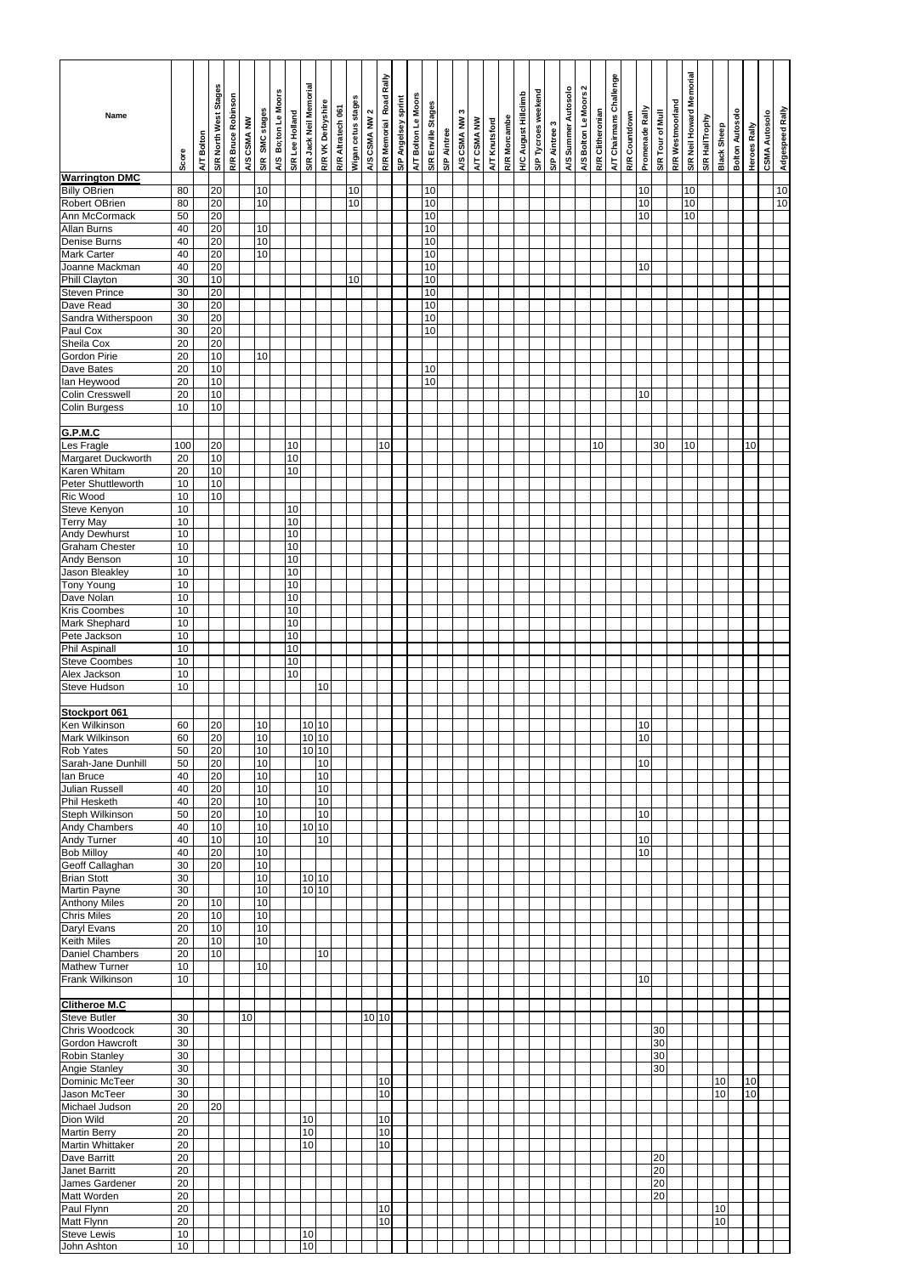|                                              |          |            |                       |                    |             |                |                     |                 |                        |                   |                   |                    |               |                         |                            |                     |                    |             | c           |             |               |              |                             |                     |               |                     |                       |                  |                         |               |                 |                  |                  |                          |                |             |                        |                     |                      |                 |
|----------------------------------------------|----------|------------|-----------------------|--------------------|-------------|----------------|---------------------|-----------------|------------------------|-------------------|-------------------|--------------------|---------------|-------------------------|----------------------------|---------------------|--------------------|-------------|-------------|-------------|---------------|--------------|-----------------------------|---------------------|---------------|---------------------|-----------------------|------------------|-------------------------|---------------|-----------------|------------------|------------------|--------------------------|----------------|-------------|------------------------|---------------------|----------------------|-----------------|
| Name                                         |          |            | S/R North West Stages | R/R Bruce Robinson | A/S CSMA NW | S/R SMC stages | A/S Bo;ton Le Moors | S/R Lee Holland | S/R Jack Neil Memorial | R/R VK Derbyshire | R/R Altratech 061 | Wigan cetus stages | A/S CSMA NW 2 | R/R Memorial Road Rally | <b>S/P Angelsey sprint</b> | A/T Bolton Le Moors | S/R Enville Stages | S/P Aintree | A/S CSMA NW | A/T CSMA NW | A/T Knutsford | R/R Morcambe | <b>H/C August Hillclimb</b> | S/P Tycroes weekend | S/P Aintree 3 | A/S Summer Autosolo | A/S Bolton Le Moors 2 | R/R Clitheronian | A/T Chairmans Challenge | R/R Countdown | Promenade Rally | S/R Tour of Mull | R/R Westmoorland | S/R Neil Howard Memorial | S/R HallTrophy | Black Sheep | <b>Bolton Autosolo</b> | <b>Heroes Rally</b> | <b>CSMA Autosolo</b> | Adgespeed Rally |
|                                              | Score    | A/T Bolton |                       |                    |             |                |                     |                 |                        |                   |                   |                    |               |                         |                            |                     |                    |             |             |             |               |              |                             |                     |               |                     |                       |                  |                         |               |                 |                  |                  |                          |                |             |                        |                     |                      |                 |
| <b>Warrington DMC</b><br><b>Billy OBrien</b> | 80       |            | 20                    |                    |             | 10             |                     |                 |                        |                   |                   | 10                 |               |                         |                            |                     | 10                 |             |             |             |               |              |                             |                     |               |                     |                       |                  |                         |               | 10              |                  |                  | 10                       |                |             |                        |                     |                      | 10              |
| Robert OBrien                                | 80       |            | 20                    |                    |             | 10             |                     |                 |                        |                   |                   | 10                 |               |                         |                            |                     | 10                 |             |             |             |               |              |                             |                     |               |                     |                       |                  |                         |               | 10              |                  |                  | 10                       |                |             |                        |                     |                      | 10              |
| Ann McCormack                                | 50       |            | 20                    |                    |             |                |                     |                 |                        |                   |                   |                    |               |                         |                            |                     | 10                 |             |             |             |               |              |                             |                     |               |                     |                       |                  |                         |               | 10              |                  |                  | 10                       |                |             |                        |                     |                      |                 |
| <b>Allan Burns</b><br>Denise Burns           | 40<br>40 |            | 20<br>20              |                    |             | 10<br>10       |                     |                 |                        |                   |                   |                    |               |                         |                            |                     | 10<br>10           |             |             |             |               |              |                             |                     |               |                     |                       |                  |                         |               |                 |                  |                  |                          |                |             |                        |                     |                      |                 |
| Mark Carter                                  | 40       |            | 20                    |                    |             | 10             |                     |                 |                        |                   |                   |                    |               |                         |                            |                     | 10                 |             |             |             |               |              |                             |                     |               |                     |                       |                  |                         |               |                 |                  |                  |                          |                |             |                        |                     |                      |                 |
| Joanne Mackman                               | 40       |            | 20                    |                    |             |                |                     |                 |                        |                   |                   |                    |               |                         |                            |                     | 10                 |             |             |             |               |              |                             |                     |               |                     |                       |                  |                         |               | 10              |                  |                  |                          |                |             |                        |                     |                      |                 |
| Phill Clayton                                | 30       |            | 10                    |                    |             |                |                     |                 |                        |                   |                   | 10                 |               |                         |                            |                     | 10                 |             |             |             |               |              |                             |                     |               |                     |                       |                  |                         |               |                 |                  |                  |                          |                |             |                        |                     |                      |                 |
| <b>Steven Prince</b><br>Dave Read            | 30<br>30 |            | 20<br>20              |                    |             |                |                     |                 |                        |                   |                   |                    |               |                         |                            |                     | 10<br>10           |             |             |             |               |              |                             |                     |               |                     |                       |                  |                         |               |                 |                  |                  |                          |                |             |                        |                     |                      |                 |
| Sandra Witherspoon                           | 30       |            | 20                    |                    |             |                |                     |                 |                        |                   |                   |                    |               |                         |                            |                     | 10                 |             |             |             |               |              |                             |                     |               |                     |                       |                  |                         |               |                 |                  |                  |                          |                |             |                        |                     |                      |                 |
| Paul Cox                                     | 30       |            | 20                    |                    |             |                |                     |                 |                        |                   |                   |                    |               |                         |                            |                     | 10                 |             |             |             |               |              |                             |                     |               |                     |                       |                  |                         |               |                 |                  |                  |                          |                |             |                        |                     |                      |                 |
| Sheila Cox                                   | 20       |            | 20                    |                    |             |                |                     |                 |                        |                   |                   |                    |               |                         |                            |                     |                    |             |             |             |               |              |                             |                     |               |                     |                       |                  |                         |               |                 |                  |                  |                          |                |             |                        |                     |                      |                 |
| Gordon Pirie<br>Dave Bates                   | 20       |            | 10                    |                    |             | 10             |                     |                 |                        |                   |                   |                    |               |                         |                            |                     |                    |             |             |             |               |              |                             |                     |               |                     |                       |                  |                         |               |                 |                  |                  |                          |                |             |                        |                     |                      |                 |
| lan Heywood                                  | 20<br>20 |            | 10<br>10              |                    |             |                |                     |                 |                        |                   |                   |                    |               |                         |                            |                     | 10<br>10           |             |             |             |               |              |                             |                     |               |                     |                       |                  |                         |               |                 |                  |                  |                          |                |             |                        |                     |                      |                 |
| <b>Colin Cresswell</b>                       | 20       |            | 10                    |                    |             |                |                     |                 |                        |                   |                   |                    |               |                         |                            |                     |                    |             |             |             |               |              |                             |                     |               |                     |                       |                  |                         |               | 10              |                  |                  |                          |                |             |                        |                     |                      |                 |
| Colin Burgess                                | 10       |            | 10                    |                    |             |                |                     |                 |                        |                   |                   |                    |               |                         |                            |                     |                    |             |             |             |               |              |                             |                     |               |                     |                       |                  |                         |               |                 |                  |                  |                          |                |             |                        |                     |                      |                 |
|                                              |          |            |                       |                    |             |                |                     |                 |                        |                   |                   |                    |               |                         |                            |                     |                    |             |             |             |               |              |                             |                     |               |                     |                       |                  |                         |               |                 |                  |                  |                          |                |             |                        |                     |                      |                 |
| G.P.M.C<br>Les Fragle                        | 100      |            | 20                    |                    |             |                |                     | 10              |                        |                   |                   |                    |               | 10                      |                            |                     |                    |             |             |             |               |              |                             |                     |               |                     |                       | 10               |                         |               |                 | 30               |                  | 10                       |                |             |                        | 10                  |                      |                 |
| Margaret Duckworth                           | 20       |            | 10                    |                    |             |                |                     | 10              |                        |                   |                   |                    |               |                         |                            |                     |                    |             |             |             |               |              |                             |                     |               |                     |                       |                  |                         |               |                 |                  |                  |                          |                |             |                        |                     |                      |                 |
| Karen Whitam                                 | 20       |            | 10                    |                    |             |                |                     | 10              |                        |                   |                   |                    |               |                         |                            |                     |                    |             |             |             |               |              |                             |                     |               |                     |                       |                  |                         |               |                 |                  |                  |                          |                |             |                        |                     |                      |                 |
| Peter Shuttleworth                           | 10       |            | 10                    |                    |             |                |                     |                 |                        |                   |                   |                    |               |                         |                            |                     |                    |             |             |             |               |              |                             |                     |               |                     |                       |                  |                         |               |                 |                  |                  |                          |                |             |                        |                     |                      |                 |
| Ric Wood<br>Steve Kenyon                     | 10<br>10 |            | 10                    |                    |             |                |                     | 10              |                        |                   |                   |                    |               |                         |                            |                     |                    |             |             |             |               |              |                             |                     |               |                     |                       |                  |                         |               |                 |                  |                  |                          |                |             |                        |                     |                      |                 |
| <b>Terry May</b>                             | 10       |            |                       |                    |             |                |                     | 10              |                        |                   |                   |                    |               |                         |                            |                     |                    |             |             |             |               |              |                             |                     |               |                     |                       |                  |                         |               |                 |                  |                  |                          |                |             |                        |                     |                      |                 |
| <b>Andy Dewhurst</b>                         | 10       |            |                       |                    |             |                |                     | 10              |                        |                   |                   |                    |               |                         |                            |                     |                    |             |             |             |               |              |                             |                     |               |                     |                       |                  |                         |               |                 |                  |                  |                          |                |             |                        |                     |                      |                 |
| Graham Chester                               | 10       |            |                       |                    |             |                |                     | 10              |                        |                   |                   |                    |               |                         |                            |                     |                    |             |             |             |               |              |                             |                     |               |                     |                       |                  |                         |               |                 |                  |                  |                          |                |             |                        |                     |                      |                 |
| Andy Benson<br>Jason Bleakley                | 10       |            |                       |                    |             |                |                     | 10<br>10        |                        |                   |                   |                    |               |                         |                            |                     |                    |             |             |             |               |              |                             |                     |               |                     |                       |                  |                         |               |                 |                  |                  |                          |                |             |                        |                     |                      |                 |
| <b>Tony Young</b>                            | 10<br>10 |            |                       |                    |             |                |                     | 10              |                        |                   |                   |                    |               |                         |                            |                     |                    |             |             |             |               |              |                             |                     |               |                     |                       |                  |                         |               |                 |                  |                  |                          |                |             |                        |                     |                      |                 |
| Dave Nolan                                   | 10       |            |                       |                    |             |                |                     | 10              |                        |                   |                   |                    |               |                         |                            |                     |                    |             |             |             |               |              |                             |                     |               |                     |                       |                  |                         |               |                 |                  |                  |                          |                |             |                        |                     |                      |                 |
| Kris Coombes                                 | 10       |            |                       |                    |             |                |                     | 10              |                        |                   |                   |                    |               |                         |                            |                     |                    |             |             |             |               |              |                             |                     |               |                     |                       |                  |                         |               |                 |                  |                  |                          |                |             |                        |                     |                      |                 |
| Mark Shephard                                | 10       |            |                       |                    |             |                |                     | 10              |                        |                   |                   |                    |               |                         |                            |                     |                    |             |             |             |               |              |                             |                     |               |                     |                       |                  |                         |               |                 |                  |                  |                          |                |             |                        |                     |                      |                 |
| Pete Jackson<br><b>Phil Aspinall</b>         | 10<br>10 |            |                       |                    |             |                |                     | 10<br>10        |                        |                   |                   |                    |               |                         |                            |                     |                    |             |             |             |               |              |                             |                     |               |                     |                       |                  |                         |               |                 |                  |                  |                          |                |             |                        |                     |                      |                 |
| <b>Steve Coombes</b>                         | 10       |            |                       |                    |             |                |                     | 10              |                        |                   |                   |                    |               |                         |                            |                     |                    |             |             |             |               |              |                             |                     |               |                     |                       |                  |                         |               |                 |                  |                  |                          |                |             |                        |                     |                      |                 |
| Alex Jackson                                 | 10       |            |                       |                    |             |                |                     | 10              |                        |                   |                   |                    |               |                         |                            |                     |                    |             |             |             |               |              |                             |                     |               |                     |                       |                  |                         |               |                 |                  |                  |                          |                |             |                        |                     |                      |                 |
| Steve Hudson                                 | 10       |            |                       |                    |             |                |                     |                 |                        | 10                |                   |                    |               |                         |                            |                     |                    |             |             |             |               |              |                             |                     |               |                     |                       |                  |                         |               |                 |                  |                  |                          |                |             |                        |                     |                      |                 |
| Stockport 061                                |          |            |                       |                    |             |                |                     |                 |                        |                   |                   |                    |               |                         |                            |                     |                    |             |             |             |               |              |                             |                     |               |                     |                       |                  |                         |               |                 |                  |                  |                          |                |             |                        |                     |                      |                 |
| Ken Wilkinson                                | 60       |            | 20                    |                    |             | 10             |                     |                 |                        | 10 10             |                   |                    |               |                         |                            |                     |                    |             |             |             |               |              |                             |                     |               |                     |                       |                  |                         |               | 10              |                  |                  |                          |                |             |                        |                     |                      |                 |
| Mark Wilkinson                               | 60       |            | 20                    |                    |             | 10             |                     |                 |                        | 10 10             |                   |                    |               |                         |                            |                     |                    |             |             |             |               |              |                             |                     |               |                     |                       |                  |                         |               | 10              |                  |                  |                          |                |             |                        |                     |                      |                 |
| Rob Yates                                    | 50       |            | 20<br>20              |                    |             | 10             |                     |                 |                        | $10$ 10           |                   |                    |               |                         |                            |                     |                    |             |             |             |               |              |                             |                     |               |                     |                       |                  |                         |               | 10              |                  |                  |                          |                |             |                        |                     |                      |                 |
| Sarah-Jane Dunhill<br>lan Bruce              | 50<br>40 |            | 20                    |                    |             | 10<br>10       |                     |                 |                        | 10<br>10          |                   |                    |               |                         |                            |                     |                    |             |             |             |               |              |                             |                     |               |                     |                       |                  |                         |               |                 |                  |                  |                          |                |             |                        |                     |                      |                 |
| Julian Russell                               | 40       |            | 20                    |                    |             | 10             |                     |                 |                        | 10                |                   |                    |               |                         |                            |                     |                    |             |             |             |               |              |                             |                     |               |                     |                       |                  |                         |               |                 |                  |                  |                          |                |             |                        |                     |                      |                 |
| <b>Phil Hesketh</b>                          | 40       |            | 20                    |                    |             | 10             |                     |                 |                        | 10                |                   |                    |               |                         |                            |                     |                    |             |             |             |               |              |                             |                     |               |                     |                       |                  |                         |               |                 |                  |                  |                          |                |             |                        |                     |                      |                 |
| Steph Wilkinson                              | 50<br>40 |            | 20<br>10              |                    |             | 10<br>10       |                     |                 |                        | 10<br>$10$ 10     |                   |                    |               |                         |                            |                     |                    |             |             |             |               |              |                             |                     |               |                     |                       |                  |                         |               | 10              |                  |                  |                          |                |             |                        |                     |                      |                 |
| Andy Chambers<br>Andy Turner                 | 40       |            | 10                    |                    |             | 10             |                     |                 |                        | 10                |                   |                    |               |                         |                            |                     |                    |             |             |             |               |              |                             |                     |               |                     |                       |                  |                         |               | 10              |                  |                  |                          |                |             |                        |                     |                      |                 |
| <b>Bob Milloy</b>                            | 40       |            | 20                    |                    |             | 10             |                     |                 |                        |                   |                   |                    |               |                         |                            |                     |                    |             |             |             |               |              |                             |                     |               |                     |                       |                  |                         |               | 10              |                  |                  |                          |                |             |                        |                     |                      |                 |
| Geoff Callaghan                              | 30       |            | 20                    |                    |             | 10             |                     |                 |                        |                   |                   |                    |               |                         |                            |                     |                    |             |             |             |               |              |                             |                     |               |                     |                       |                  |                         |               |                 |                  |                  |                          |                |             |                        |                     |                      |                 |
| <b>Brian Stott</b>                           | 30<br>30 |            |                       |                    |             | 10<br>10       |                     |                 |                        | 10 10<br>10 10    |                   |                    |               |                         |                            |                     |                    |             |             |             |               |              |                             |                     |               |                     |                       |                  |                         |               |                 |                  |                  |                          |                |             |                        |                     |                      |                 |
| Martin Payne<br><b>Anthony Miles</b>         | 20       |            | 10                    |                    |             | 10             |                     |                 |                        |                   |                   |                    |               |                         |                            |                     |                    |             |             |             |               |              |                             |                     |               |                     |                       |                  |                         |               |                 |                  |                  |                          |                |             |                        |                     |                      |                 |
| <b>Chris Miles</b>                           | 20       |            | 10                    |                    |             | 10             |                     |                 |                        |                   |                   |                    |               |                         |                            |                     |                    |             |             |             |               |              |                             |                     |               |                     |                       |                  |                         |               |                 |                  |                  |                          |                |             |                        |                     |                      |                 |
| Daryl Evans                                  | 20       |            | 10                    |                    |             | 10             |                     |                 |                        |                   |                   |                    |               |                         |                            |                     |                    |             |             |             |               |              |                             |                     |               |                     |                       |                  |                         |               |                 |                  |                  |                          |                |             |                        |                     |                      |                 |
| Keith Miles<br><b>Daniel Chambers</b>        | 20<br>20 |            | 10<br>10              |                    |             | 10             |                     |                 |                        | 10                |                   |                    |               |                         |                            |                     |                    |             |             |             |               |              |                             |                     |               |                     |                       |                  |                         |               |                 |                  |                  |                          |                |             |                        |                     |                      |                 |
| Mathew Turner                                | 10       |            |                       |                    |             | 10             |                     |                 |                        |                   |                   |                    |               |                         |                            |                     |                    |             |             |             |               |              |                             |                     |               |                     |                       |                  |                         |               |                 |                  |                  |                          |                |             |                        |                     |                      |                 |
| Frank Wilkinson                              | 10       |            |                       |                    |             |                |                     |                 |                        |                   |                   |                    |               |                         |                            |                     |                    |             |             |             |               |              |                             |                     |               |                     |                       |                  |                         |               | 10              |                  |                  |                          |                |             |                        |                     |                      |                 |
|                                              |          |            |                       |                    |             |                |                     |                 |                        |                   |                   |                    |               |                         |                            |                     |                    |             |             |             |               |              |                             |                     |               |                     |                       |                  |                         |               |                 |                  |                  |                          |                |             |                        |                     |                      |                 |
| <b>Clitheroe M.C</b><br><b>Steve Butler</b>  | 30       |            |                       |                    | 10          |                |                     |                 |                        |                   |                   |                    |               | 10 10                   |                            |                     |                    |             |             |             |               |              |                             |                     |               |                     |                       |                  |                         |               |                 |                  |                  |                          |                |             |                        |                     |                      |                 |
| Chris Woodcock                               | 30       |            |                       |                    |             |                |                     |                 |                        |                   |                   |                    |               |                         |                            |                     |                    |             |             |             |               |              |                             |                     |               |                     |                       |                  |                         |               |                 | 30               |                  |                          |                |             |                        |                     |                      |                 |
| Gordon Hawcroft                              | 30       |            |                       |                    |             |                |                     |                 |                        |                   |                   |                    |               |                         |                            |                     |                    |             |             |             |               |              |                             |                     |               |                     |                       |                  |                         |               |                 | 30               |                  |                          |                |             |                        |                     |                      |                 |
| <b>Robin Stanley</b>                         | 30       |            |                       |                    |             |                |                     |                 |                        |                   |                   |                    |               |                         |                            |                     |                    |             |             |             |               |              |                             |                     |               |                     |                       |                  |                         |               |                 | 30               |                  |                          |                |             |                        |                     |                      |                 |
| Angie Stanley<br>Dominic McTeer              | 30       |            |                       |                    |             |                |                     |                 |                        |                   |                   |                    |               | 10                      |                            |                     |                    |             |             |             |               |              |                             |                     |               |                     |                       |                  |                         |               |                 | 30               |                  |                          |                |             |                        |                     |                      |                 |
| Jason McTeer                                 | 30<br>30 |            |                       |                    |             |                |                     |                 |                        |                   |                   |                    |               | 10                      |                            |                     |                    |             |             |             |               |              |                             |                     |               |                     |                       |                  |                         |               |                 |                  |                  |                          |                | 10<br>10    |                        | 10<br>10            |                      |                 |
| Michael Judson                               | 20       |            | 20                    |                    |             |                |                     |                 |                        |                   |                   |                    |               |                         |                            |                     |                    |             |             |             |               |              |                             |                     |               |                     |                       |                  |                         |               |                 |                  |                  |                          |                |             |                        |                     |                      |                 |
| Dion Wild                                    | 20       |            |                       |                    |             |                |                     |                 | 10                     |                   |                   |                    |               | 10                      |                            |                     |                    |             |             |             |               |              |                             |                     |               |                     |                       |                  |                         |               |                 |                  |                  |                          |                |             |                        |                     |                      |                 |
| Martin Berry                                 | 20       |            |                       |                    |             |                |                     |                 | 10                     |                   |                   |                    |               | 10                      |                            |                     |                    |             |             |             |               |              |                             |                     |               |                     |                       |                  |                         |               |                 |                  |                  |                          |                |             |                        |                     |                      |                 |
| Martin Whittaker<br>Dave Barritt             | 20<br>20 |            |                       |                    |             |                |                     |                 | 10                     |                   |                   |                    |               | 10                      |                            |                     |                    |             |             |             |               |              |                             |                     |               |                     |                       |                  |                         |               |                 | 20               |                  |                          |                |             |                        |                     |                      |                 |
| Janet Barritt                                | 20       |            |                       |                    |             |                |                     |                 |                        |                   |                   |                    |               |                         |                            |                     |                    |             |             |             |               |              |                             |                     |               |                     |                       |                  |                         |               |                 | 20               |                  |                          |                |             |                        |                     |                      |                 |
| James Gardener                               | 20       |            |                       |                    |             |                |                     |                 |                        |                   |                   |                    |               |                         |                            |                     |                    |             |             |             |               |              |                             |                     |               |                     |                       |                  |                         |               |                 | 20               |                  |                          |                |             |                        |                     |                      |                 |
| Matt Worden                                  | 20       |            |                       |                    |             |                |                     |                 |                        |                   |                   |                    |               |                         |                            |                     |                    |             |             |             |               |              |                             |                     |               |                     |                       |                  |                         |               |                 | 20               |                  |                          |                |             |                        |                     |                      |                 |
| Paul Flynn<br>Matt Flynn                     | 20<br>20 |            |                       |                    |             |                |                     |                 |                        |                   |                   |                    |               | 10<br>10                |                            |                     |                    |             |             |             |               |              |                             |                     |               |                     |                       |                  |                         |               |                 |                  |                  |                          |                | 10<br>10    |                        |                     |                      |                 |
| <b>Steve Lewis</b>                           | 10       |            |                       |                    |             |                |                     |                 | 10                     |                   |                   |                    |               |                         |                            |                     |                    |             |             |             |               |              |                             |                     |               |                     |                       |                  |                         |               |                 |                  |                  |                          |                |             |                        |                     |                      |                 |
| John Ashton                                  | 10       |            |                       |                    |             |                |                     |                 | 10                     |                   |                   |                    |               |                         |                            |                     |                    |             |             |             |               |              |                             |                     |               |                     |                       |                  |                         |               |                 |                  |                  |                          |                |             |                        |                     |                      |                 |